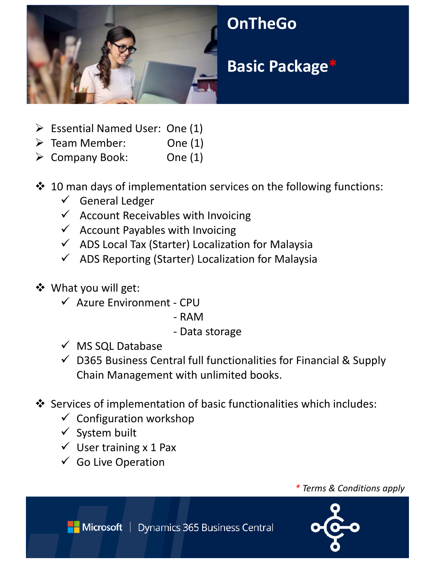

- $\triangleright$  Essential Named User: One (1)
- $\triangleright$  Team Member: One (1)
- $\triangleright$  Company Book: One (1)
- $\cdot$  10 man days of implementation services on the following functions:
	- General Ledger
	- $\checkmark$  Account Receivables with Invoicing
	- $\checkmark$  Account Payables with Invoicing
	- $\checkmark$  ADS Local Tax (Starter) Localization for Malaysia
	- $\checkmark$  ADS Reporting (Starter) Localization for Malaysia
- What you will get:
	- Azure Environment ‐ CPU
		- ‐ RAM
		- ‐ Data storage
	- $\checkmark$  MS SQL Database
	- $\checkmark$  D365 Business Central full functionalities for Financial & Supply Chain Management with unlimited books.
- Services of implementation of basic functionalities which includes:
	- $\checkmark$  Configuration workshop
	- $\checkmark$  System built
	- $\checkmark$  User training x 1 Pax
	- $\checkmark$  Go Live Operation

*\* Terms & Conditions apply*



Microsoft | Dynamics 365 Business Central